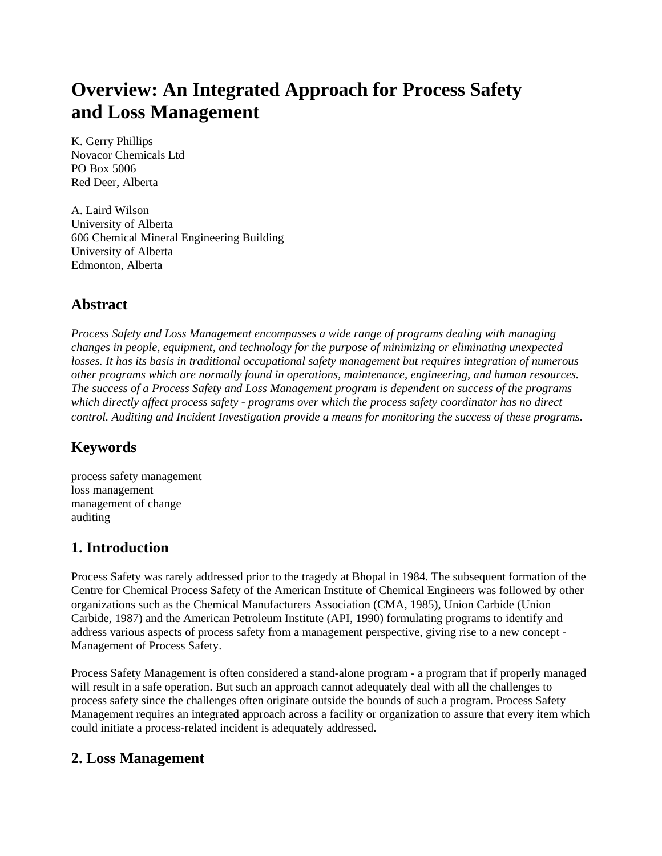# **Overview: An Integrated Approach for Process Safety and Loss Management**

K. Gerry Phillips Novacor Chemicals Ltd PO Box 5006 Red Deer, Alberta

A. Laird Wilson University of Alberta 606 Chemical Mineral Engineering Building University of Alberta Edmonton, Alberta

## **Abstract**

*Process Safety and Loss Management encompasses a wide range of programs dealing with managing changes in people, equipment, and technology for the purpose of minimizing or eliminating unexpected losses. It has its basis in traditional occupational safety management but requires integration of numerous other programs which are normally found in operations, maintenance, engineering, and human resources. The success of a Process Safety and Loss Management program is dependent on success of the programs which directly affect process safety - programs over which the process safety coordinator has no direct control. Auditing and Incident Investigation provide a means for monitoring the success of these programs.*

# **Keywords**

process safety management loss management management of change auditing

## **1. Introduction**

Process Safety was rarely addressed prior to the tragedy at Bhopal in 1984. The subsequent formation of the Centre for Chemical Process Safety of the American Institute of Chemical Engineers was followed by other organizations such as the Chemical Manufacturers Association (CMA, 1985), Union Carbide (Union Carbide, 1987) and the American Petroleum Institute (API, 1990) formulating programs to identify and address various aspects of process safety from a management perspective, giving rise to a new concept - Management of Process Safety.

Process Safety Management is often considered a stand-alone program - a program that if properly managed will result in a safe operation. But such an approach cannot adequately deal with all the challenges to process safety since the challenges often originate outside the bounds of such a program. Process Safety Management requires an integrated approach across a facility or organization to assure that every item which could initiate a process-related incident is adequately addressed.

## **2. Loss Management**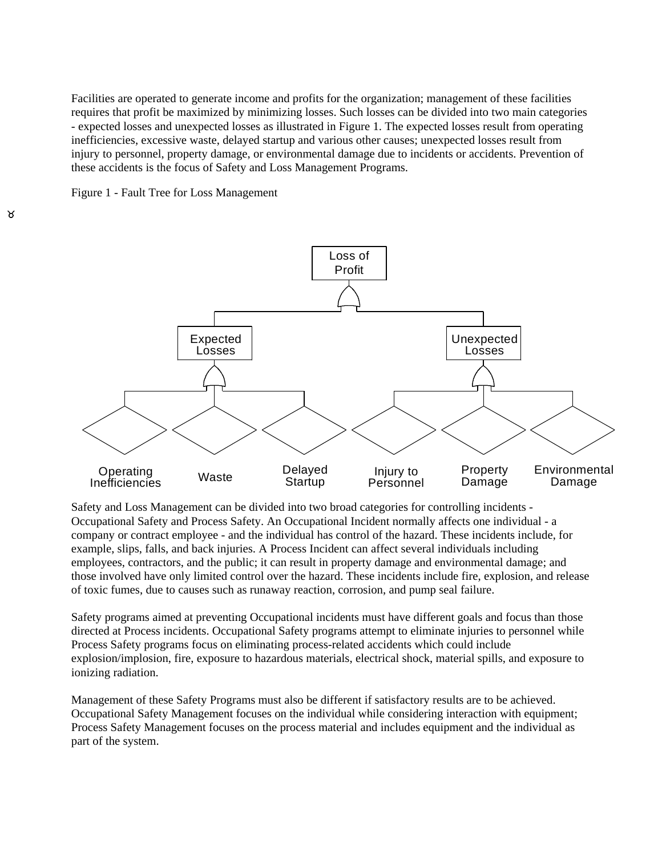Facilities are operated to generate income and profits for the organization; management of these facilities requires that profit be maximized by minimizing losses. Such losses can be divided into two main categories - expected losses and unexpected losses as illustrated in Figure 1. The expected losses result from operating inefficiencies, excessive waste, delayed startup and various other causes; unexpected losses result from injury to personnel, property damage, or environmental damage due to incidents or accidents. Prevention of these accidents is the focus of Safety and Loss Management Programs.





Safety and Loss Management can be divided into two broad categories for controlling incidents - Occupational Safety and Process Safety. An Occupational Incident normally affects one individual - a company or contract employee - and the individual has control of the hazard. These incidents include, for example, slips, falls, and back injuries. A Process Incident can affect several individuals including employees, contractors, and the public; it can result in property damage and environmental damage; and those involved have only limited control over the hazard. These incidents include fire, explosion, and release of toxic fumes, due to causes such as runaway reaction, corrosion, and pump seal failure.

Safety programs aimed at preventing Occupational incidents must have different goals and focus than those directed at Process incidents. Occupational Safety programs attempt to eliminate injuries to personnel while Process Safety programs focus on eliminating process-related accidents which could include explosion/implosion, fire, exposure to hazardous materials, electrical shock, material spills, and exposure to ionizing radiation.

Management of these Safety Programs must also be different if satisfactory results are to be achieved. Occupational Safety Management focuses on the individual while considering interaction with equipment; Process Safety Management focuses on the process material and includes equipment and the individual as part of the system.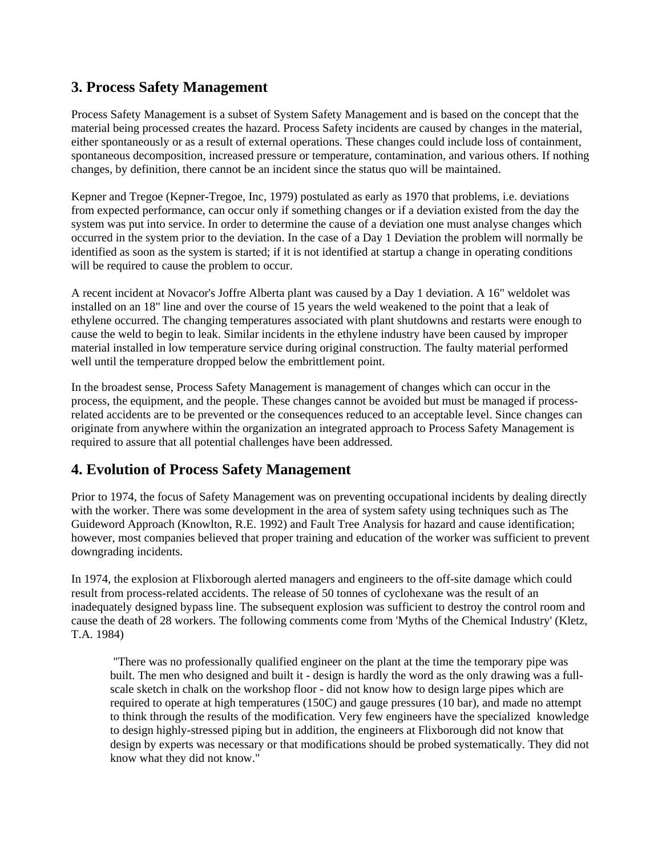## **3. Process Safety Management**

Process Safety Management is a subset of System Safety Management and is based on the concept that the material being processed creates the hazard. Process Safety incidents are caused by changes in the material, either spontaneously or as a result of external operations. These changes could include loss of containment, spontaneous decomposition, increased pressure or temperature, contamination, and various others. If nothing changes, by definition, there cannot be an incident since the status quo will be maintained.

Kepner and Tregoe (Kepner-Tregoe, Inc, 1979) postulated as early as 1970 that problems, i.e. deviations from expected performance, can occur only if something changes or if a deviation existed from the day the system was put into service. In order to determine the cause of a deviation one must analyse changes which occurred in the system prior to the deviation. In the case of a Day 1 Deviation the problem will normally be identified as soon as the system is started; if it is not identified at startup a change in operating conditions will be required to cause the problem to occur.

A recent incident at Novacor's Joffre Alberta plant was caused by a Day 1 deviation. A 16" weldolet was installed on an 18" line and over the course of 15 years the weld weakened to the point that a leak of ethylene occurred. The changing temperatures associated with plant shutdowns and restarts were enough to cause the weld to begin to leak. Similar incidents in the ethylene industry have been caused by improper material installed in low temperature service during original construction. The faulty material performed well until the temperature dropped below the embrittlement point.

In the broadest sense, Process Safety Management is management of changes which can occur in the process, the equipment, and the people. These changes cannot be avoided but must be managed if processrelated accidents are to be prevented or the consequences reduced to an acceptable level. Since changes can originate from anywhere within the organization an integrated approach to Process Safety Management is required to assure that all potential challenges have been addressed.

## **4. Evolution of Process Safety Management**

Prior to 1974, the focus of Safety Management was on preventing occupational incidents by dealing directly with the worker. There was some development in the area of system safety using techniques such as The Guideword Approach (Knowlton, R.E. 1992) and Fault Tree Analysis for hazard and cause identification; however, most companies believed that proper training and education of the worker was sufficient to prevent downgrading incidents.

In 1974, the explosion at Flixborough alerted managers and engineers to the off-site damage which could result from process-related accidents. The release of 50 tonnes of cyclohexane was the result of an inadequately designed bypass line. The subsequent explosion was sufficient to destroy the control room and cause the death of 28 workers. The following comments come from 'Myths of the Chemical Industry' (Kletz, T.A. 1984)

 "There was no professionally qualified engineer on the plant at the time the temporary pipe was built. The men who designed and built it - design is hardly the word as the only drawing was a fullscale sketch in chalk on the workshop floor - did not know how to design large pipes which are required to operate at high temperatures (150C) and gauge pressures (10 bar), and made no attempt to think through the results of the modification. Very few engineers have the specialized knowledge to design highly-stressed piping but in addition, the engineers at Flixborough did not know that design by experts was necessary or that modifications should be probed systematically. They did not know what they did not know."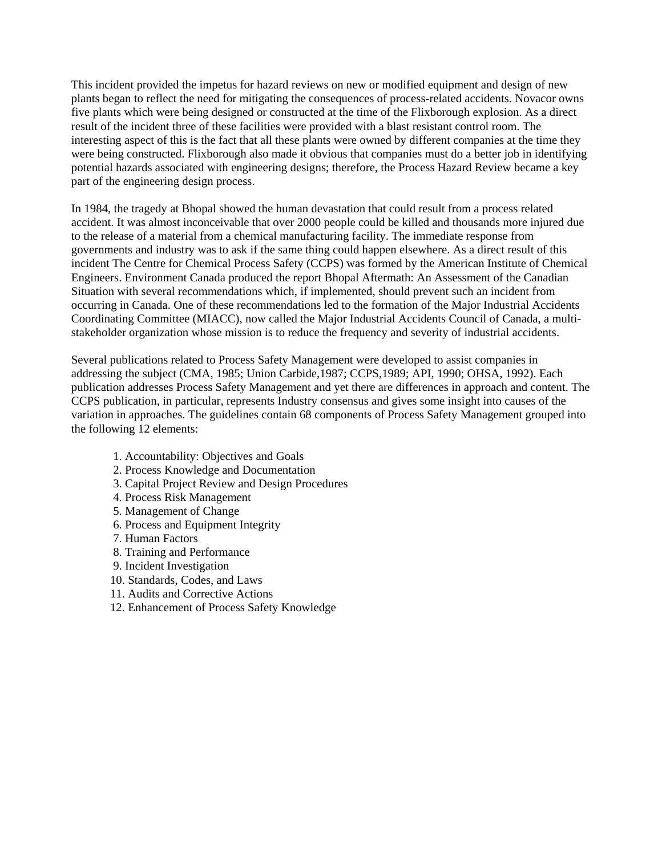This incident provided the impetus for hazard reviews on new or modified equipment and design of new plants began to reflect the need for mitigating the consequences of process-related accidents. Novacor owns five plants which were being designed or constructed at the time of the Flixborough explosion. As a direct result of the incident three of these facilities were provided with a blast resistant control room. The interesting aspect of this is the fact that all these plants were owned by different companies at the time they were being constructed. Flixborough also made it obvious that companies must do a better job in identifying potential hazards associated with engineering designs; therefore, the Process Hazard Review became a key part of the engineering design process.

In 1984, the tragedy at Bhopal showed the human devastation that could result from a process related accident. It was almost inconceivable that over 2000 people could be killed and thousands more injured due to the release of a material from a chemical manufacturing facility. The immediate response from governments and industry was to ask if the same thing could happen elsewhere. As a direct result of this incident The Centre for Chemical Process Safety (CCPS) was formed by the American Institute of Chemical Engineers. Environment Canada produced the report Bhopal Aftermath: An Assessment of the Canadian Situation with several recommendations which, if implemented, should prevent such an incident from occurring in Canada. One of these recommendations led to the formation of the Major Industrial Accidents Coordinating Committee (MIACC), now called the Major Industrial Accidents Council of Canada, a multistakeholder organization whose mission is to reduce the frequency and severity of industrial accidents.

Several publications related to Process Safety Management were developed to assist companies in addressing the subject (CMA, 1985; Union Carbide,1987; CCPS,1989; API, 1990; OHSA, 1992). Each publication addresses Process Safety Management and yet there are differences in approach and content. The CCPS publication, in particular, represents Industry consensus and gives some insight into causes of the variation in approaches. The guidelines contain 68 components of Process Safety Management grouped into the following 12 elements:

- 1. Accountability: Objectives and Goals
- 2. Process Knowledge and Documentation
- 3. Capital Project Review and Design Procedures
- 4. Process Risk Management
- 5. Management of Change
- 6. Process and Equipment Integrity
- 7. Human Factors
- 8. Training and Performance
- 9. Incident Investigation
- 10. Standards, Codes, and Laws
- 11. Audits and Corrective Actions
- 12. Enhancement of Process Safety Knowledge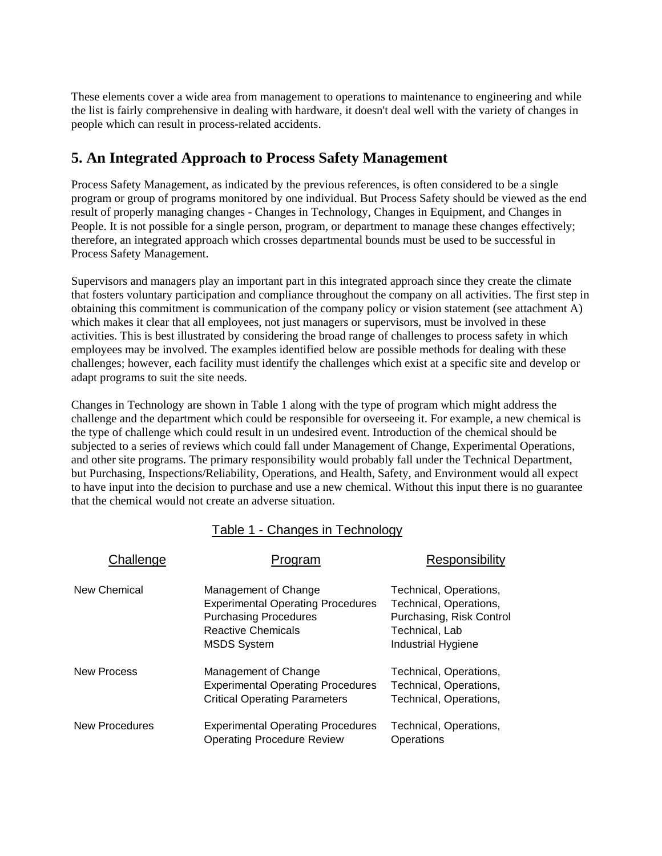These elements cover a wide area from management to operations to maintenance to engineering and while the list is fairly comprehensive in dealing with hardware, it doesn't deal well with the variety of changes in people which can result in process-related accidents.

## **5. An Integrated Approach to Process Safety Management**

Process Safety Management, as indicated by the previous references, is often considered to be a single program or group of programs monitored by one individual. But Process Safety should be viewed as the end result of properly managing changes - Changes in Technology, Changes in Equipment, and Changes in People. It is not possible for a single person, program, or department to manage these changes effectively; therefore, an integrated approach which crosses departmental bounds must be used to be successful in Process Safety Management.

Supervisors and managers play an important part in this integrated approach since they create the climate that fosters voluntary participation and compliance throughout the company on all activities. The first step in obtaining this commitment is communication of the company policy or vision statement (see attachment A) which makes it clear that all employees, not just managers or supervisors, must be involved in these activities. This is best illustrated by considering the broad range of challenges to process safety in which employees may be involved. The examples identified below are possible methods for dealing with these challenges; however, each facility must identify the challenges which exist at a specific site and develop or adapt programs to suit the site needs.

Changes in Technology are shown in Table 1 along with the type of program which might address the challenge and the department which could be responsible for overseeing it. For example, a new chemical is the type of challenge which could result in un undesired event. Introduction of the chemical should be subjected to a series of reviews which could fall under Management of Change, Experimental Operations, and other site programs. The primary responsibility would probably fall under the Technical Department, but Purchasing, Inspections/Reliability, Operations, and Health, Safety, and Environment would all expect to have input into the decision to purchase and use a new chemical. Without this input there is no guarantee that the chemical would not create an adverse situation.

#### Table 1 - Changes in Technology

| Challenge             | Program                                                                                                                                             | Responsibility                                                                                                       |
|-----------------------|-----------------------------------------------------------------------------------------------------------------------------------------------------|----------------------------------------------------------------------------------------------------------------------|
| New Chemical          | Management of Change<br><b>Experimental Operating Procedures</b><br><b>Purchasing Procedures</b><br><b>Reactive Chemicals</b><br><b>MSDS System</b> | Technical, Operations,<br>Technical, Operations,<br>Purchasing, Risk Control<br>Technical, Lab<br>Industrial Hygiene |
| New Process           | Management of Change<br><b>Experimental Operating Procedures</b><br><b>Critical Operating Parameters</b>                                            | Technical, Operations,<br>Technical, Operations,<br>Technical, Operations,                                           |
| <b>New Procedures</b> | <b>Experimental Operating Procedures</b><br><b>Operating Procedure Review</b>                                                                       | Technical, Operations,<br>Operations                                                                                 |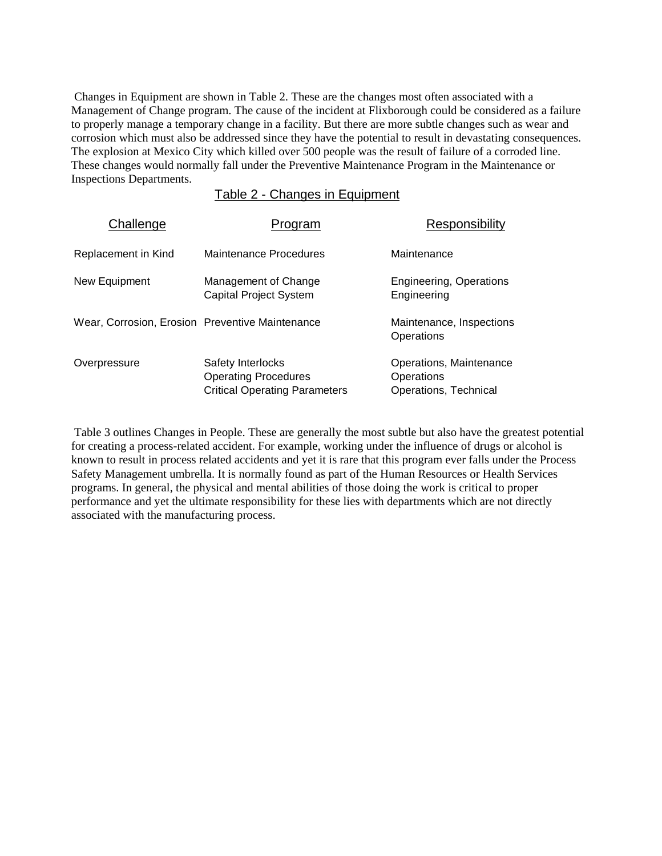Changes in Equipment are shown in Table 2. These are the changes most often associated with a Management of Change program. The cause of the incident at Flixborough could be considered as a failure to properly manage a temporary change in a facility. But there are more subtle changes such as wear and corrosion which must also be addressed since they have the potential to result in devastating consequences. The explosion at Mexico City which killed over 500 people was the result of failure of a corroded line. These changes would normally fall under the Preventive Maintenance Program in the Maintenance or Inspections Departments.

Table 2 - Changes in Equipment

| Challenge                                       | Program                                                                                  | Responsibility                                                 |
|-------------------------------------------------|------------------------------------------------------------------------------------------|----------------------------------------------------------------|
| Replacement in Kind                             | Maintenance Procedures                                                                   | Maintenance                                                    |
| New Equipment                                   | Management of Change<br><b>Capital Project System</b>                                    | <b>Engineering, Operations</b><br>Engineering                  |
| Wear, Corrosion, Erosion Preventive Maintenance |                                                                                          | Maintenance, Inspections<br>Operations                         |
| Overpressure                                    | Safety Interlocks<br><b>Operating Procedures</b><br><b>Critical Operating Parameters</b> | Operations, Maintenance<br>Operations<br>Operations, Technical |

 Table 3 outlines Changes in People. These are generally the most subtle but also have the greatest potential for creating a process-related accident. For example, working under the influence of drugs or alcohol is known to result in process related accidents and yet it is rare that this program ever falls under the Process Safety Management umbrella. It is normally found as part of the Human Resources or Health Services programs. In general, the physical and mental abilities of those doing the work is critical to proper performance and yet the ultimate responsibility for these lies with departments which are not directly associated with the manufacturing process.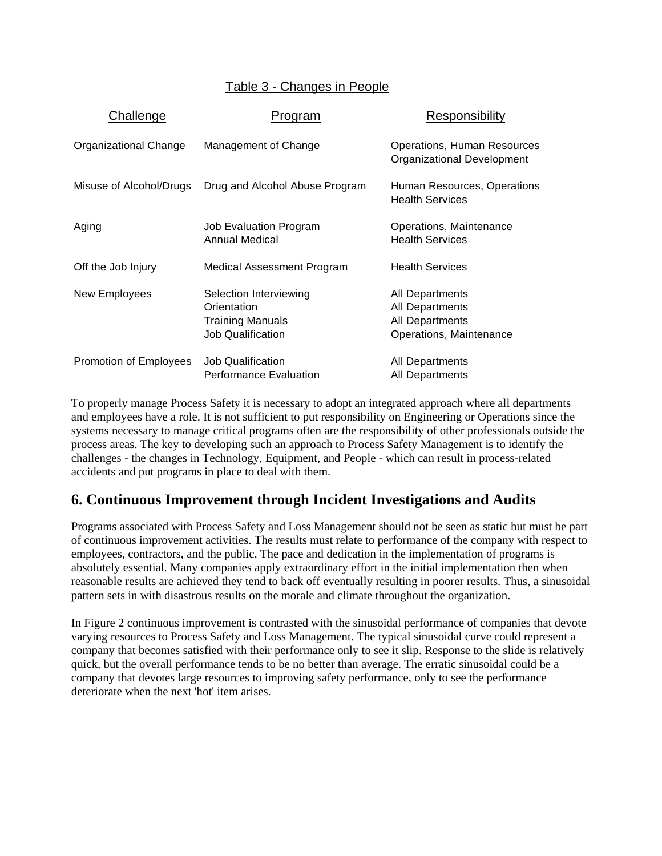#### Table 3 - Changes in People

| Challenge               | Program                                                                                      | Responsibility                                                                          |
|-------------------------|----------------------------------------------------------------------------------------------|-----------------------------------------------------------------------------------------|
| Organizational Change   | Management of Change                                                                         | Operations, Human Resources<br>Organizational Development                               |
| Misuse of Alcohol/Drugs | Drug and Alcohol Abuse Program                                                               | Human Resources, Operations<br><b>Health Services</b>                                   |
| Aging                   | Job Evaluation Program<br>Annual Medical                                                     | Operations, Maintenance<br><b>Health Services</b>                                       |
| Off the Job Injury      | Medical Assessment Program                                                                   | <b>Health Services</b>                                                                  |
| New Employees           | Selection Interviewing<br>Orientation<br><b>Training Manuals</b><br><b>Job Qualification</b> | All Departments<br><b>All Departments</b><br>All Departments<br>Operations, Maintenance |
| Promotion of Employees  | <b>Job Qualification</b><br><b>Performance Evaluation</b>                                    | All Departments<br>All Departments                                                      |

To properly manage Process Safety it is necessary to adopt an integrated approach where all departments and employees have a role. It is not sufficient to put responsibility on Engineering or Operations since the systems necessary to manage critical programs often are the responsibility of other professionals outside the process areas. The key to developing such an approach to Process Safety Management is to identify the challenges - the changes in Technology, Equipment, and People - which can result in process-related accidents and put programs in place to deal with them.

## **6. Continuous Improvement through Incident Investigations and Audits**

Programs associated with Process Safety and Loss Management should not be seen as static but must be part of continuous improvement activities. The results must relate to performance of the company with respect to employees, contractors, and the public. The pace and dedication in the implementation of programs is absolutely essential. Many companies apply extraordinary effort in the initial implementation then when reasonable results are achieved they tend to back off eventually resulting in poorer results. Thus, a sinusoidal pattern sets in with disastrous results on the morale and climate throughout the organization.

In Figure 2 continuous improvement is contrasted with the sinusoidal performance of companies that devote varying resources to Process Safety and Loss Management. The typical sinusoidal curve could represent a company that becomes satisfied with their performance only to see it slip. Response to the slide is relatively quick, but the overall performance tends to be no better than average. The erratic sinusoidal could be a company that devotes large resources to improving safety performance, only to see the performance deteriorate when the next 'hot' item arises.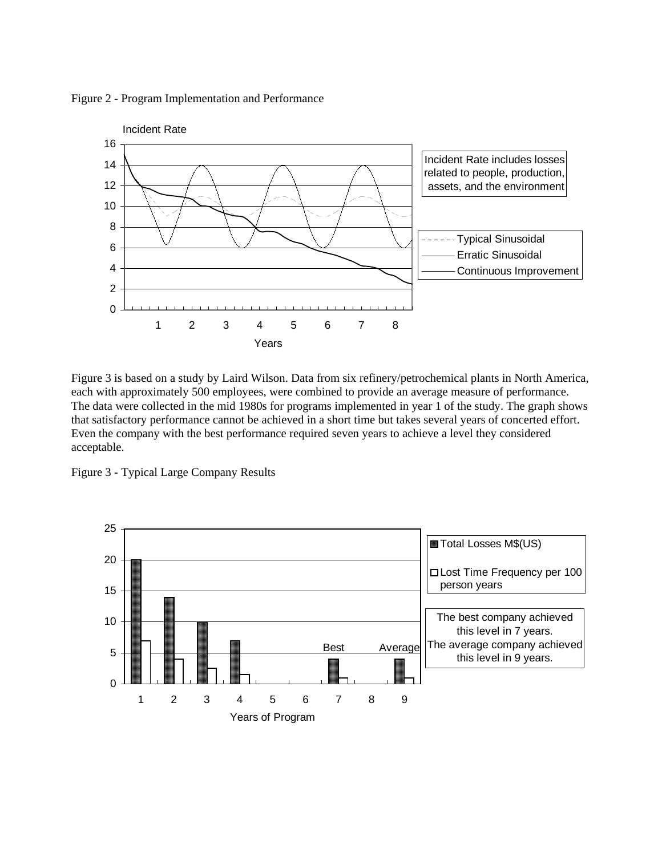Figure 2 - Program Implementation and Performance



Figure 3 is based on a study by Laird Wilson. Data from six refinery/petrochemical plants in North America, each with approximately 500 employees, were combined to provide an average measure of performance. The data were collected in the mid 1980s for programs implemented in year 1 of the study. The graph shows that satisfactory performance cannot be achieved in a short time but takes several years of concerted effort. Even the company with the best performance required seven years to achieve a level they considered acceptable.

Figure 3 - Typical Large Company Results

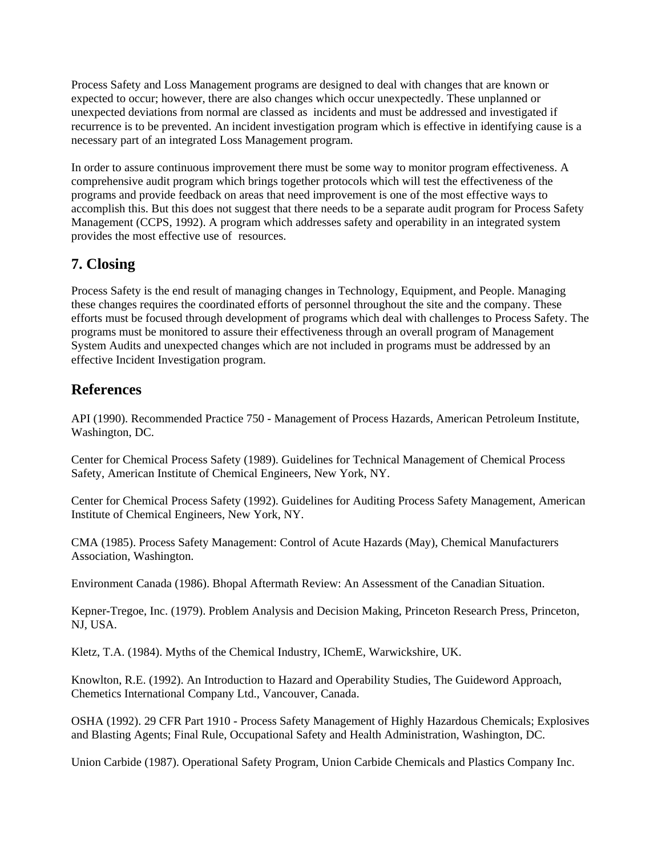Process Safety and Loss Management programs are designed to deal with changes that are known or expected to occur; however, there are also changes which occur unexpectedly. These unplanned or unexpected deviations from normal are classed as incidents and must be addressed and investigated if recurrence is to be prevented. An incident investigation program which is effective in identifying cause is a necessary part of an integrated Loss Management program.

In order to assure continuous improvement there must be some way to monitor program effectiveness. A comprehensive audit program which brings together protocols which will test the effectiveness of the programs and provide feedback on areas that need improvement is one of the most effective ways to accomplish this. But this does not suggest that there needs to be a separate audit program for Process Safety Management (CCPS, 1992). A program which addresses safety and operability in an integrated system provides the most effective use of resources.

## **7. Closing**

Process Safety is the end result of managing changes in Technology, Equipment, and People. Managing these changes requires the coordinated efforts of personnel throughout the site and the company. These efforts must be focused through development of programs which deal with challenges to Process Safety. The programs must be monitored to assure their effectiveness through an overall program of Management System Audits and unexpected changes which are not included in programs must be addressed by an effective Incident Investigation program.

## **References**

API (1990). Recommended Practice 750 - Management of Process Hazards, American Petroleum Institute, Washington, DC.

Center for Chemical Process Safety (1989). Guidelines for Technical Management of Chemical Process Safety, American Institute of Chemical Engineers, New York, NY.

Center for Chemical Process Safety (1992). Guidelines for Auditing Process Safety Management, American Institute of Chemical Engineers, New York, NY.

CMA (1985). Process Safety Management: Control of Acute Hazards (May), Chemical Manufacturers Association, Washington.

Environment Canada (1986). Bhopal Aftermath Review: An Assessment of the Canadian Situation.

Kepner-Tregoe, Inc. (1979). Problem Analysis and Decision Making, Princeton Research Press, Princeton, NJ, USA.

Kletz, T.A. (1984). Myths of the Chemical Industry, IChemE, Warwickshire, UK.

Knowlton, R.E. (1992). An Introduction to Hazard and Operability Studies, The Guideword Approach, Chemetics International Company Ltd., Vancouver, Canada.

OSHA (1992). 29 CFR Part 1910 - Process Safety Management of Highly Hazardous Chemicals; Explosives and Blasting Agents; Final Rule, Occupational Safety and Health Administration, Washington, DC.

Union Carbide (1987). Operational Safety Program, Union Carbide Chemicals and Plastics Company Inc.